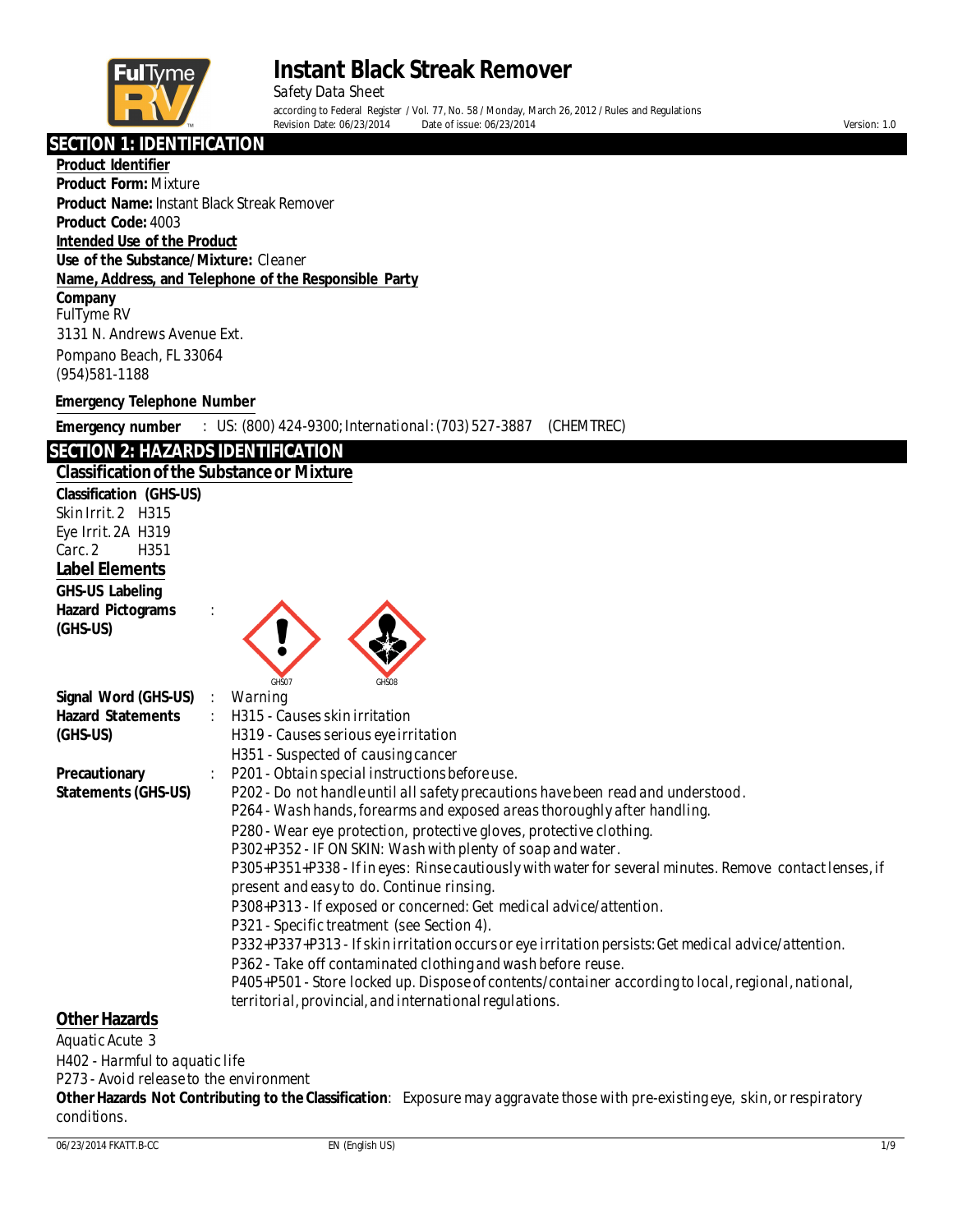

Safety Data Sheet according to Federal Register / Vol. 77, No. 58 / Monday, March 26, 2012 / Rules and Regulations<br>Revision Date: 06/23/2014 Date of issue: 06/23/2014 Revision Date: 06/23/2014 Date of issue: 06/23/2014 Version: 1.0

### **SECTION 1: IDENTIFICATION**

**Product Identifier Product Form:** Mixture **Product Name:** Instant Black Streak Remover **Product Code:** 4003 **Intended Use of the Product Use of the Substance/Mixture:** Cleaner **Name, Address, and Telephone of the Responsible Party Company** FulTyme RV 3131 N. Andrews Avenue Ext. Pompano Beach, FL 33064 (954)581-1188 **Emergency Telephone Number**

**Emergency number** : US: (800) 424-9300; International: (703) 527-3887 (CHEMTREC)

#### **SECTION 2: HAZARDS IDENTIFICATION**

#### **Classification of the Substance or Mixture**

**Classification (GHS-US)** Skin Irrit.2 H315 Eye Irrit.2A H319 Carc.2 H351 **Label Elements GHS-US Labeling Hazard Pictograms** : **(GHS-US)** GHS07 GHS08 **Signal Word (GHS-US)** : Warning **Hazard Statements** : H315 - Causes skin irritation **(GHS-US)** H319 - Causes serious eyeirritation H351 - Suspected of causing cancer **Precautionary** : P201 - Obtain special instructions before use. **Statements (GHS-US)** P202 - Do not handle until all safety precautions have been read and understood. P264 - Wash hands, forearms and exposed areas thoroughly after handling. P280 - Wear eye protection, protective gloves, protective clothing. P302+P352 - IF ON SKIN: Wash with plenty of soap and water. P305+P351+P338 - Ifin eyes: Rinsecautiously with water for several minutes. Remove contactlenses, if present and easy to do. Continue rinsing. P308+P313 - If exposed or concerned: Get medical advice/attention. P321 - Specific treatment (see Section 4). P332+P337+P313 - Ifskin irritation occurs or eye irritation persists:Get medical advice/attention. P362 - Take off contaminated clothing and wash before reuse. P405+P501 - Store locked up. Dispose of contents/container according to local, regional, national, territorial, provincial, and international regulations. **Other Hazards**

Aquatic Acute 3

H402 - Harmful to aquatic life

P273 - Avoid releaseto the environment

**OtherHazards Not Contributing to the Classification**: Exposure may aggravate those with pre-existing eye, skin,or respiratory conditions.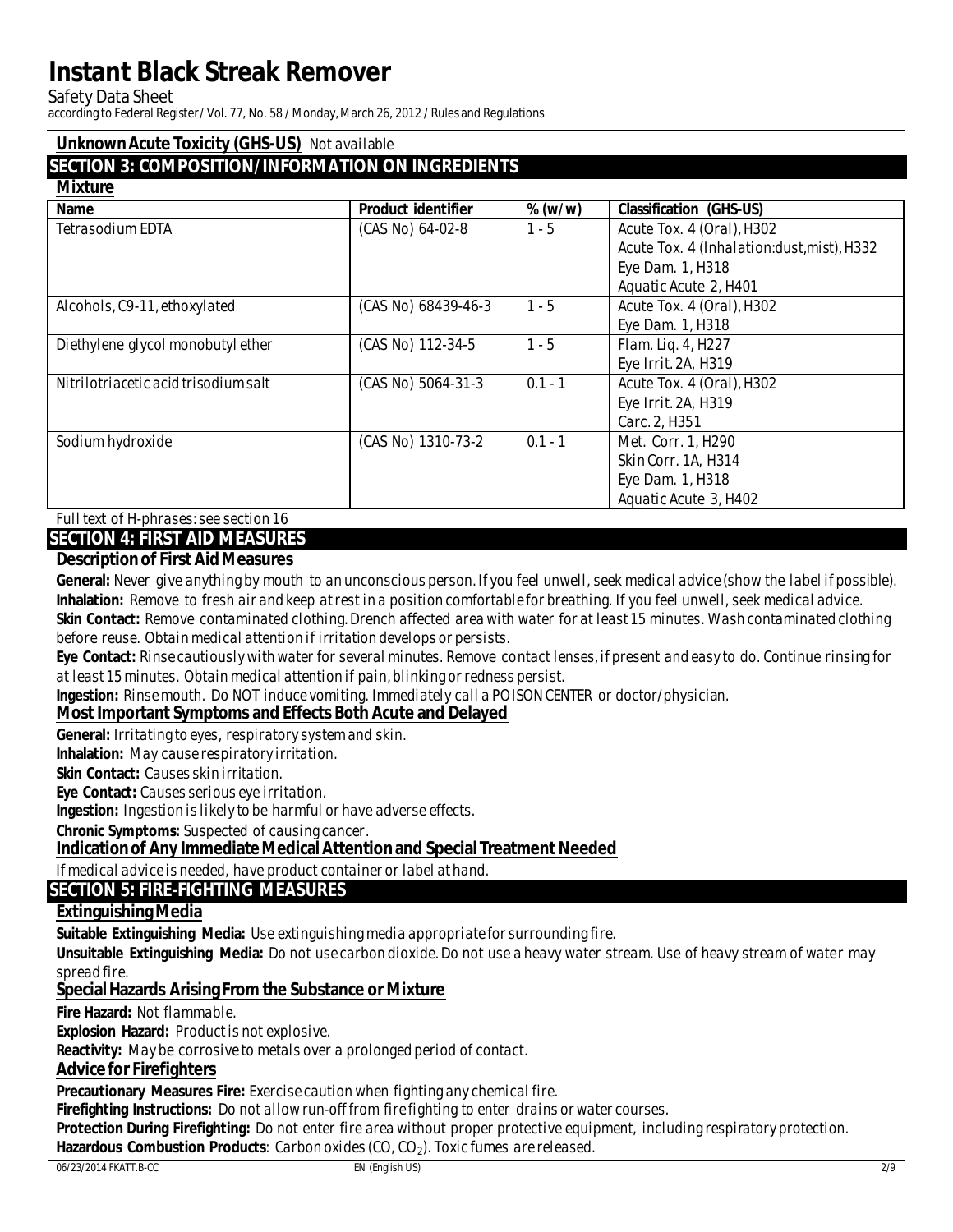**Safety Data Sheet** 

according to Federal Register / Vol. 77, No. 58 / Monday, March 26, 2012 / Rules and Regulations

#### **Unknown Acute Toxicity (GHS-US)** Not available

### **SECTION 3: COMPOSITION/INFORMATION ON INGREDIENTS**

#### **Mivtum**

| <b>Name</b>                          | <b>Product identifier</b> | $\%$ (w/w) | <b>Classification (GHS-US)</b>             |
|--------------------------------------|---------------------------|------------|--------------------------------------------|
| <b>Tetrasodium EDTA</b>              | (CAS No) 64-02-8          | $1 - 5$    | Acute Tox. 4 (Oral), H302                  |
|                                      |                           |            | Acute Tox. 4 (Inhalation:dust, mist), H332 |
|                                      |                           |            | Eye Dam. 1, H318                           |
|                                      |                           |            | <b>Aquatic Acute 2, H401</b>               |
| Alcohols, C9-11, ethoxylated         | (CAS No) 68439-46-3       | $1 - 5$    | Acute Tox. 4 (Oral), H302                  |
|                                      |                           |            | Eye Dam. 1, H318                           |
| Diethylene glycol monobutyl ether    | (CAS No) 112-34-5         | $1 - 5$    | Flam. Liq. 4, H227                         |
|                                      |                           |            | Eye Irrit. 2A, H319                        |
| Nitrilotriacetic acid trisodium salt | (CAS No) 5064-31-3        | $0.1 - 1$  | Acute Tox. 4 (Oral), H302                  |
|                                      |                           |            | <b>Eye Irrit. 2A, H319</b>                 |
|                                      |                           |            | Carc. 2, H351                              |
| Sodium hydroxide                     | (CAS No) 1310-73-2        | $0.1 - 1$  | <b>Met. Corr. 1, H290</b>                  |
|                                      |                           |            | <b>Skin Corr. 1A, H314</b>                 |
|                                      |                           |            | Eye Dam. 1, H318                           |
|                                      |                           |            | <b>Aquatic Acute 3, H402</b>               |

**Full text of H-phrases: see section 16** 

### **SECTION 4: FIRST AID MEASURES**

### **Description of First Aid Measures**

General: Never give anything by mouth to an unconscious person. If you feel unwell, seek medical advice (show the label if possible). Inhalation: Remove to fresh air and keep at rest in a position comfortable for breathing. If you feel unwell, seek medical advice. Skin Contact: Remove contaminated clothing. Drench affected area with water for at least 15 minutes. Wash contaminated clothing before reuse. Obtain medical attention if irritation develops or persists.

Eye Contact: Rinse cautiously with water for several minutes. Remove contact lenses, if present and easy to do. Continue rinsing for at least 15 minutes. Obtain medical attention if pain, blinking or redness persist.

Ingestion: Rinse mouth. Do NOT induce vomiting. Immediately call a POISON CENTER or doctor/physician.

#### **Most Important Symptoms and Effects Both Acute and Delayed**

General: Irritating to eyes, respiratory system and skin.

**Inhalation:** May cause respiratory irritation.

Skin Contact: Causes skin irritation.

Eve Contact: Causes serious eve irritation.

**Ingestion:** Ingestion is likely to be harmful or have adverse effects.

**Chronic Symptoms:** Suspected of causing cancer.

### Indication of Any Immediate Medical Attention and Special Treatment Needed

If medical advice is needed, have product container or label at hand.

### **SECTION 5: FIRE-FIGHTING MEASURES**

#### **Extinguishing Media**

Suitable Extinguishing Media: Use extinguishing media appropriate for surrounding fire.

Unsuitable Extinguishing Media: Do not use carbon dioxide. Do not use a heavy water stream. Use of heavy stream of water may spread fire.

#### **Special Hazards Arising From the Substance or Mixture**

Fire Hazard: Not flammable.

**Explosion Hazard: Product is not explosive.** 

**Reactivity:** May be corrosive to metals over a prolonged period of contact.

#### **Advice for Firefighters**

Precautionary Measures Fire: Exercise caution when fighting any chemical fire.

**Firefighting Instructions:** Do not allow run-off from fire fighting to enter drains or water courses.

Protection During Firefighting: Do not enter fire area without proper protective equipment, including respiratory protection. **Hazardous Combustion Products:** Carbon oxides  $(CO, CO<sub>2</sub>)$ . Toxic fumes are released.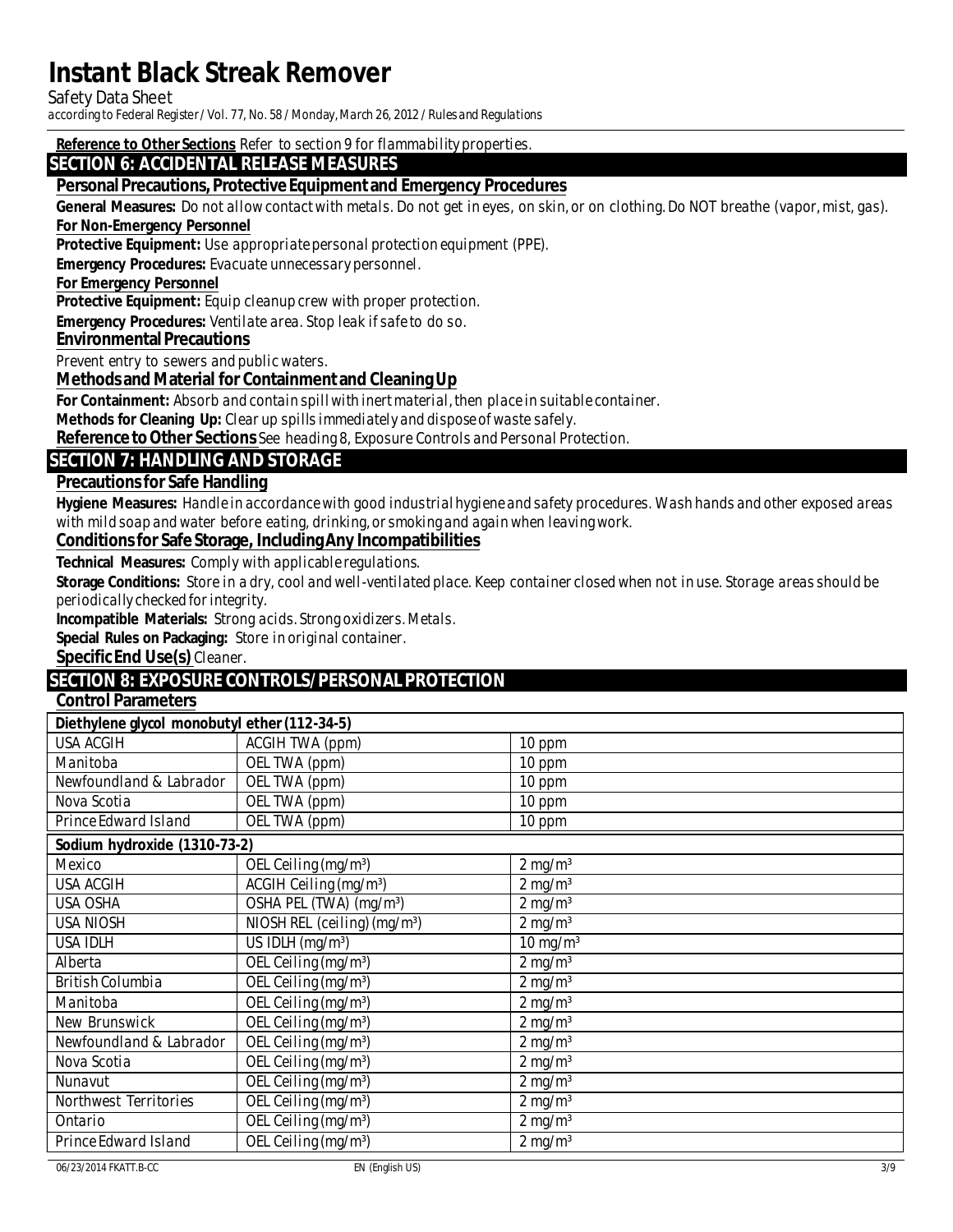**Safety Data Sheet** 

according to Federal Register / Vol. 77, No. 58 / Monday, March 26, 2012 / Rules and Regulations

Reference to OtherSections Refer to section 9 for flammability properties.

#### **SECTION 6: ACCIDENTAL RELEASE MEASURES**

#### Personal Precautions, Protective Equipment and Emergency Procedures

**General Measures:** Do not allow contact with metals. Do not get in eyes, on skin, or on clothing. Do NOT breathe (vapor, mist, gas).

#### **For Non-Emergency Personnel**

**Protective Equipment:** Use appropriate personal protection equipment (PPE).

**Emergency Procedures:** Evacuate unnecessary personnel.

#### **For Emergency Personnel**

**Protective Equipment:** Equip cleanup crew with proper protection.

**Emergency Procedures:** Ventilate area. Stop leak if safe to do so.

#### **Environmental Precautions**

Prevent entry to sewers and public waters.

#### Methods and Material for Containment and Cleaning Up

For Containment: Absorb and contain spill with inert material, then place in suitable container.

Methods for Cleaning Up: Clear up spills immediately and dispose of waste safely.

Reference to Other Sections See heading 8, Exposure Controls and Personal Protection.

#### **SECTION 7: HANDLING AND STORAGE**

#### **Precautions for Safe Handling**

Hygiene Measures: Handle in accordance with good indus trial hygiene and safety procedures. Wash hands and other exposed areas with mild soap and water before eating, drinking, or smoking and again when leaving work.

#### **Conditions for Safe Storage, Including Any Incompatibilities**

**Technical Measures: Comply with applicable regulations.** 

Storage Conditions: Store in a dry, cool and well-ventilated place. Keep container closed when not in use. Storage areas should be periodically checked for integrity.

**Incompatible Materials:** Strong acids. Strong oxidizers. Metals.

Special Rules on Packaging: Store in original container.

**Specific End Use(s)** Cleaner.

### **SECTION 8: EXPOSURE CONTROLS/PERSONAL PROTECTION**

### **Control Parameters**

| Diethylene glycol monobutyl ether (112-34-5) |                                                      |                       |  |
|----------------------------------------------|------------------------------------------------------|-----------------------|--|
| <b>USA ACGIH</b>                             | <b>ACGIH TWA (ppm)</b>                               | $10$ ppm              |  |
| <b>Manitoba</b>                              | OEL TWA (ppm)                                        | $10$ ppm              |  |
| Newfoundland & Labrador                      | <b>OEL TWA (ppm)</b>                                 | 10 ppm                |  |
| <b>Nova Scotia</b>                           | OEL TWA (ppm)                                        | 10 ppm                |  |
| <b>Prince Edward Island</b>                  | <b>OEL TWA</b> (ppm)                                 | 10 ppm                |  |
| Sodium hydroxide (1310-73-2)                 |                                                      |                       |  |
| <b>Mexico</b>                                | OEL Ceiling (mg/m <sup>3</sup> )                     | $2$ mg/m <sup>3</sup> |  |
| <b>USA ACGIH</b>                             | <b>ACGIH Ceiling (mg/m<sup>3</sup>)</b>              | $2$ mg/m <sup>3</sup> |  |
| <b>USA OSHA</b>                              | OSHA PEL (TWA) (mg/m <sup>3</sup> )                  | $2 \text{ mg/m}^3$    |  |
| <b>USA NIOSH</b>                             | $NIOSH REL$ (ceiling) (mg/m <sup>3</sup> )           | $2$ mg/m <sup>3</sup> |  |
| <b>USA IDIH</b>                              | US IDIH $(mg/m3)$                                    | $10 \text{ mg/m}^3$   |  |
| <b>Alberta</b>                               | OEL Ceiling (mg/m <sup>3</sup> )                     | $2$ mg/m <sup>3</sup> |  |
| <b>British Columbia</b>                      | $\overline{\text{OEL Ceiling}}$ (mg/m <sup>3</sup> ) | $2 \text{ mg/m}^3$    |  |
| <b>Manitoba</b>                              | OEL Ceiling $(mg/m3)$                                | $2$ mg/m <sup>3</sup> |  |
| <b>New Brunswick</b>                         | OEL Ceiling (mg/m <sup>3</sup> )                     | $2$ mg/m <sup>3</sup> |  |
| Newfoundland & Labrador                      | OEL Ceiling (mg/m <sup>3</sup> )                     | $2$ mg/m <sup>3</sup> |  |
| Nova Scotia                                  | OEL Ceiling (mg/m <sup>3</sup> )                     | $2$ mg/m <sup>3</sup> |  |
| <b>Nunavut</b>                               | OEL Ceiling (mg/m <sup>3</sup> )                     | $2$ mg/m <sup>3</sup> |  |
| <b>Northwest Territories</b>                 | OEL Ceiling (mg/m <sup>3</sup> )                     | $2$ mg/m <sup>3</sup> |  |
| <b>Ontario</b>                               | OEL Ceiling (mg/m <sup>3</sup> )                     | $2$ mg/m <sup>3</sup> |  |
| <b>Prince Edward Island</b>                  | OEL Ceiling (mg/m <sup>3</sup> )                     | $2 \text{ mg/m}^3$    |  |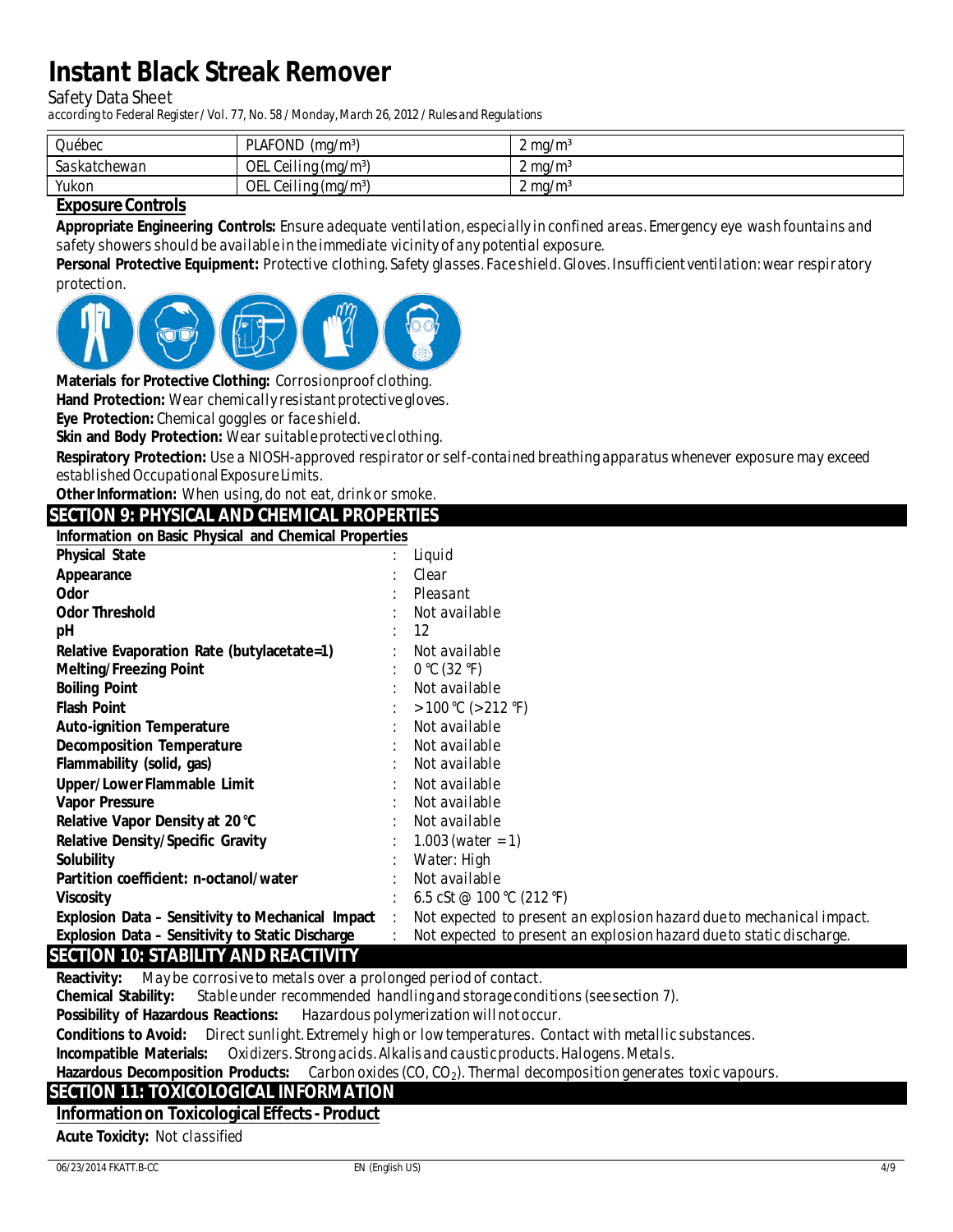**Safety Data Sheet** 

according to Federal Register / Vol. 77, No. 58 / Monday, March 26, 2012 / Rules and Regulations

| Québec       | <b>PIAFOND</b><br>$(mg/m^3)$ | $2 \text{ mg/m}^3$              |
|--------------|------------------------------|---------------------------------|
| Saskatchewan | OEL Ceiling $(mg/m3)$        | $\mathcal{L}$ mg/m <sup>3</sup> |
| Yukon        | OEL Ceiling $(mg/m3)$        | $2 \text{ mg/m}^3$              |

#### **Exposure Controls**

Appropriate Engineering Controls: Ensure adequate ventilation, especially in confined areas. Emergency eye wash fountains and safety showers should be available in the immediate vicinity of any potential exposure.

Personal Protective Equipment: Protective clothing. Safety glasses. Face shield. Gloves. Insufficient ventilation: wear respiratory protection.



Materials for Protective Clothing: Corrosionproof clothing.

Hand Protection: Wear chemically resistant protective gloves.

Eve Protection: Chemical goggles or face shield.

Skin and Body Protection: Wear suitable protective clothing.

Respiratory Protection: Use a NIOSH-approved respirator or self-contained breathing apparatus whenever exposure may exceed established Occupational Exposure Limits.

Other Information: When using, do not eat, drink or smoke.

**SECTION 9: PHYSICAL AND CHEMICAL PROPERTIES** 

**Information on Basic Physical and Chemical Properties** 

| <b>Physical State</b>                                    | Liquid                                                                |
|----------------------------------------------------------|-----------------------------------------------------------------------|
| <b>Appearance</b>                                        | <b>Clear</b>                                                          |
| <b>Odor</b>                                              | Pleasant                                                              |
| <b>Odor Threshold</b>                                    | Not available                                                         |
| pH                                                       | 12                                                                    |
| <b>Relative Evaporation Rate (butylacetate=1)</b>        | Not available                                                         |
| <b>Melting/Freezing Point</b>                            | 0 °C (32 °F)                                                          |
| <b>Boiling Point</b>                                     | Not available                                                         |
| <b>Flash Point</b>                                       | > 100 °C (> 212 °F)                                                   |
| <b>Auto-ignition Temperature</b>                         | Not available                                                         |
| <b>Decomposition Temperature</b>                         | Not available                                                         |
| <b>Flammability (solid, gas)</b>                         | Not available                                                         |
| <b>Upper/LowerFlammable Limit</b>                        | Not available                                                         |
| <b>Vapor Pressure</b>                                    | Not available                                                         |
| Relative Vapor Density at 20 °C                          | Not available                                                         |
| <b>Relative Density/Specific Gravity</b>                 | $1.003$ (water = 1)                                                   |
| <b>Solubility</b>                                        | Water: High                                                           |
| <b>Partition coefficient: n-octanol/water</b>            | Not available                                                         |
| <b>Viscosity</b>                                         | 6.5 cSt @ 100 °C (212 °F)                                             |
| <b>Explosion Data - Sensitivity to Mechanical Impact</b> | Not expected to present an explosion hazard due to mechanical impact. |
| Explosion Data - Sensitivity to Static Discharge         | Not expected to present an explosion hazard due to static discharge.  |
| <b>SECTION 10: STABILITY AND REACTIVITY</b>              |                                                                       |

**Reactivity:** May be corrosive to metals over a prolonged period of contact.

**Chemical Stability:** Stable under recommended handling and storage conditions (see section 7).

**Possibility of Hazardous Reactions:** Hazardous polymerization will not occur.

**Conditions to Avoid:** Direct sunlight. Extremely high or low temperatures. Contact with metallic substances.

**Incompatible Materials:** Oxidizers. Strong acids. Alkalis and caustic products. Halogens. Metals.

**Hazardous Decomposition Products:** Carbon oxides  $(CO, CO<sub>2</sub>)$ . Thermal decomposition generates toxic vapours.

#### **SECTION 11: TOXICOLOGICAL INFORMATION**

#### **Information on Toxicological Effects - Product**

**Acute Toxicity: Not classified**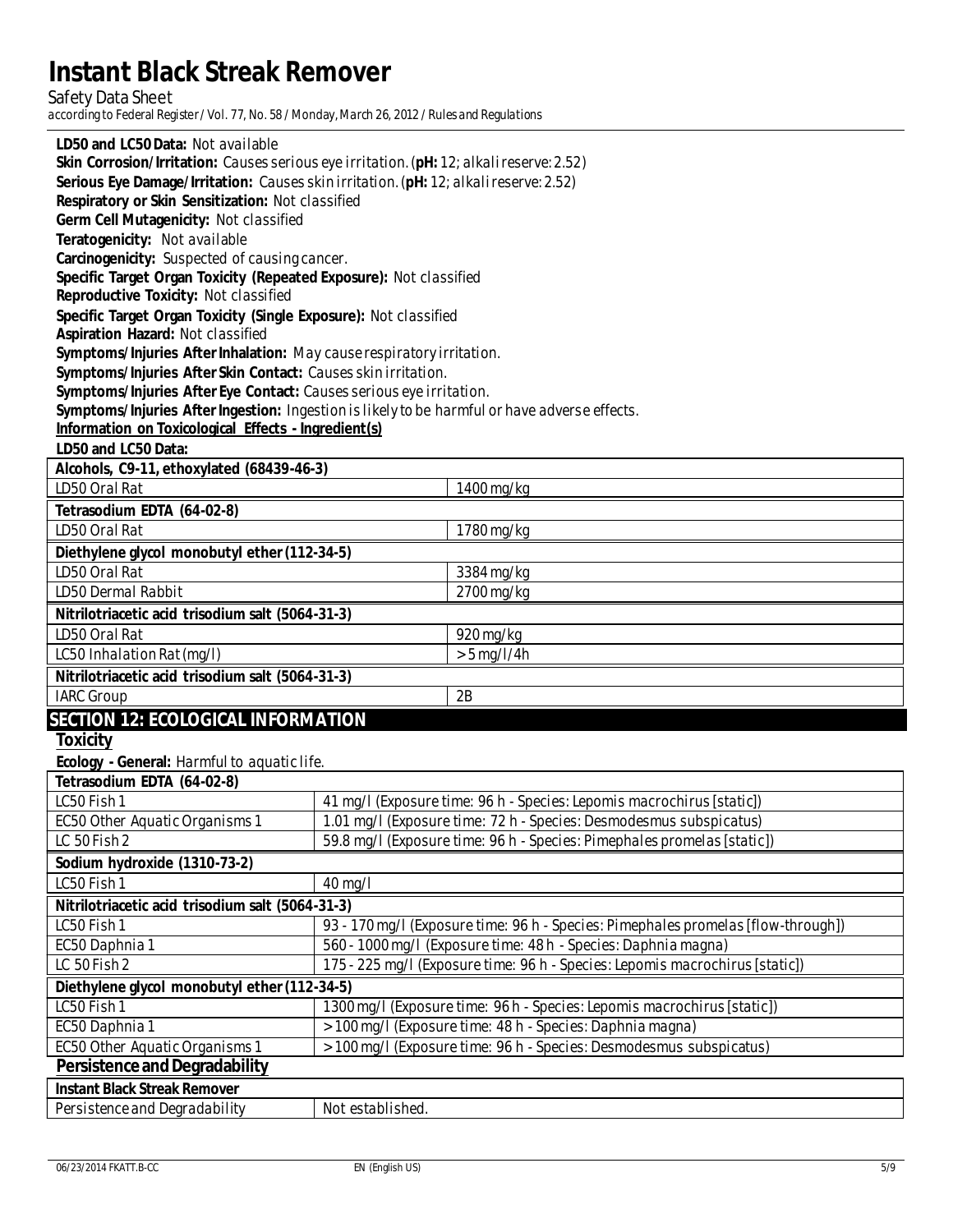$\textbf{Safety Data Sheet} \\ \text{according to Federal Register/Vol. 77, No. 58 / Monday, March 26, 2012 / Rules and Regulations \\$ 

| LD50 and LC50 Data: Not available                                                                                                                                              |                  |                                                                                   |  |
|--------------------------------------------------------------------------------------------------------------------------------------------------------------------------------|------------------|-----------------------------------------------------------------------------------|--|
| Skin Corrosion/Iritation: Causes serious eye irritation. (pH: 12; alkalireserve: 2.52)<br>Serious Eye Damage/Iritation: Causes skin irritation. (pH: 12; alkali reserve: 2.52) |                  |                                                                                   |  |
| <b>Respiratory or Skin Sensitization: Not classified</b>                                                                                                                       |                  |                                                                                   |  |
| Germ Cell Mutagenicity: Not classified                                                                                                                                         |                  |                                                                                   |  |
| Teratogenicity: Not available                                                                                                                                                  |                  |                                                                                   |  |
| Carcinogenicity: Suspected of causing cancer.                                                                                                                                  |                  |                                                                                   |  |
| Specific Target Organ Toxicity (Repeated Exposure): Not classified                                                                                                             |                  |                                                                                   |  |
| <b>Reproductive Toxicity: Not classified</b>                                                                                                                                   |                  |                                                                                   |  |
| Specific Target Organ Toxicity (Single Exposure): Not classified                                                                                                               |                  |                                                                                   |  |
| <b>Aspiration Hazard: Not classified</b>                                                                                                                                       |                  |                                                                                   |  |
| Symptoms/Injuries After Inhalation: May cause respiratory irritation.                                                                                                          |                  |                                                                                   |  |
| Symptoms/Injuries After Skin Contact: Causes skin irritation.                                                                                                                  |                  |                                                                                   |  |
| Symptoms/Injuries After Eye Contact: Causes serious eye irritation.                                                                                                            |                  |                                                                                   |  |
| Symptoms/Injuries After Ingestion: Ingestion is likely to be harmful or have adverse effects.                                                                                  |                  |                                                                                   |  |
| Information on Toxicological Effects - Ingredient(s)                                                                                                                           |                  |                                                                                   |  |
| LD50 and LC50 Data:                                                                                                                                                            |                  |                                                                                   |  |
| Alcohols, C9-11, ethoxylated (68439-46-3)                                                                                                                                      |                  |                                                                                   |  |
| <b>ID50 Oral Rat</b>                                                                                                                                                           |                  | $1400$ mg/kg                                                                      |  |
| Tetrasodium EDTA (64-02-8)                                                                                                                                                     |                  |                                                                                   |  |
| <b>ID50 Oral Rat</b>                                                                                                                                                           |                  | $1780$ mg/kg                                                                      |  |
| Diethylene glycol monobutyl ether (112-34-5)                                                                                                                                   |                  |                                                                                   |  |
| <b>ID50 Oral Rat</b>                                                                                                                                                           |                  | 3384 mg/kg                                                                        |  |
| <b>ID50 Dermal Rabbit</b>                                                                                                                                                      |                  | $2700$ mg/kg                                                                      |  |
| Nitrilotriacetic acid trisodium salt (5064-31-3)                                                                                                                               |                  |                                                                                   |  |
| <b>ID50 Oral Rat</b>                                                                                                                                                           |                  | $920$ mg/kg                                                                       |  |
| <b>IC50 Inhalation Rat (mg/l)</b>                                                                                                                                              |                  | $> 5$ mg/l/4h                                                                     |  |
| Nitrilotriacetic acid trisodium salt (5064-31-3)                                                                                                                               |                  |                                                                                   |  |
| <b>IARC Group</b>                                                                                                                                                              |                  | 2B                                                                                |  |
| <b>SECTION 12: ECOLOGICAL INFORMATION</b>                                                                                                                                      |                  |                                                                                   |  |
| <b>Toxicity</b>                                                                                                                                                                |                  |                                                                                   |  |
| Ecology - General: Harmful to aquatic life.                                                                                                                                    |                  |                                                                                   |  |
| Tetrasodium EDTA (64-02-8)                                                                                                                                                     |                  |                                                                                   |  |
| <b>IC50 Fish 1</b>                                                                                                                                                             |                  | 41 mg/l (Exposure time: 96 h - Species: Lepomis macrochirus [static])             |  |
| <b>EC50 Other Aquatic Organisms 1</b>                                                                                                                                          |                  | 1.01 mg/l (Exposure time: 72 h - Species: Desmodesmus subspicatus)                |  |
| LC 50 Fish 2                                                                                                                                                                   |                  | 59.8 mg/l (Exposure time: 96 h - Species: Pimephales promelas [static])           |  |
| Sodium hydroxide (1310-73-2)                                                                                                                                                   |                  |                                                                                   |  |
| <b>IC50 Fish 1</b>                                                                                                                                                             | $40$ mg/l        |                                                                                   |  |
| Nitrilotriacetic acid trisodium salt (5064-31-3)                                                                                                                               |                  |                                                                                   |  |
| LC50 Fish 1                                                                                                                                                                    |                  | 93 - 170 mg/l (Exposure time: 96 h - Species: Pimephales promelas [flow-through]) |  |
| EC50 Daphnia 1                                                                                                                                                                 |                  | 560 - 1000 mg/l (Exposure time: 48 h - Species: Daphnia magna)                    |  |
| 175 - 225 mg/l (Exposure time: 96 h - Species: Lepomis macrochirus [static])<br>LC 50 Fish 2                                                                                   |                  |                                                                                   |  |
| Diethylene glycol monobutyl ether (112-34-5)                                                                                                                                   |                  |                                                                                   |  |
| LC50 Fish 1                                                                                                                                                                    |                  | 1300 mg/l (Exposure time: 96 h - Species: Lepomis macrochirus [static])           |  |
| EC50 Daphnia 1<br>> 100 mg/l (Exposure time: 48 h - Species: Daphnia magna)                                                                                                    |                  |                                                                                   |  |
| <b>EC50</b> Other Aquatic Organisms 1                                                                                                                                          |                  | > 100 mg/l (Exposure time: 96 h - Species: Desmodesmus subspicatus)               |  |
| <b>Persistence and Degradability</b>                                                                                                                                           |                  |                                                                                   |  |
| <b>Instant Black Streak Remover</b>                                                                                                                                            |                  |                                                                                   |  |
| <b>Persistence and Degradability</b>                                                                                                                                           | Not established. |                                                                                   |  |
|                                                                                                                                                                                |                  |                                                                                   |  |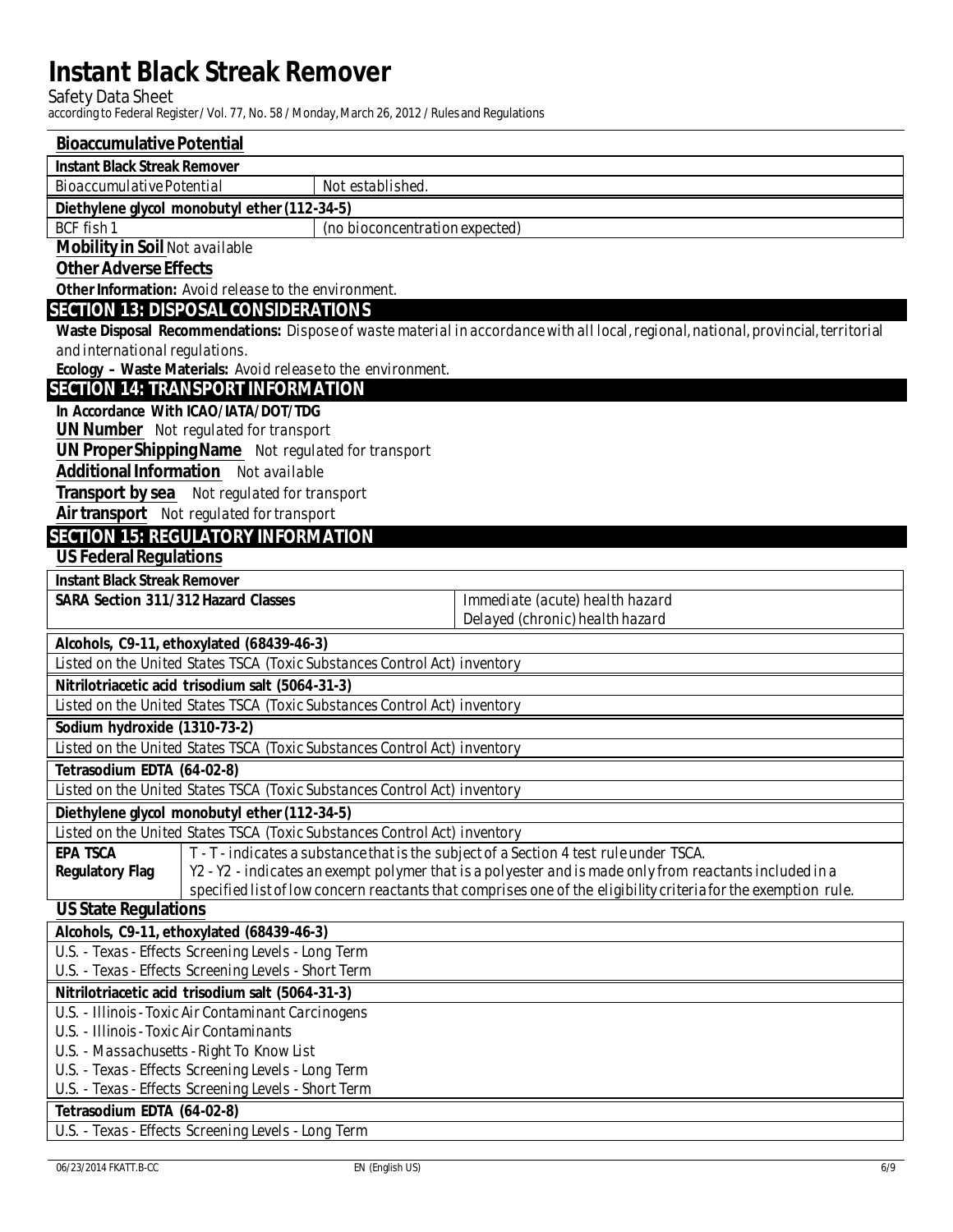${\bf Safety \ Data \ Sheet} \\ according to \ Federal \ Register/Vol. \ 77, \ No. \ 58 \ / \ Monday, \ March \ 26, \ 2012 \ / \ Rules \ and \ Regularions$ 

| <b>Bioaccumulative Potential</b>                                                                               |                                                                                                                                   |                                                                                  |                                                                                                                                     |
|----------------------------------------------------------------------------------------------------------------|-----------------------------------------------------------------------------------------------------------------------------------|----------------------------------------------------------------------------------|-------------------------------------------------------------------------------------------------------------------------------------|
| <b>Instant Black Streak Remover</b>                                                                            |                                                                                                                                   |                                                                                  |                                                                                                                                     |
| <b>Bioaccumulative Potential</b>                                                                               |                                                                                                                                   | Not established.                                                                 |                                                                                                                                     |
|                                                                                                                | Diethylene glycol monobutyl ether (112-34-5)                                                                                      |                                                                                  |                                                                                                                                     |
| <b>BCF</b> fish 1                                                                                              |                                                                                                                                   | (no bioconcentration expected)                                                   |                                                                                                                                     |
| <b>Mobility in Soil Not available</b>                                                                          |                                                                                                                                   |                                                                                  |                                                                                                                                     |
| <b>Other Adverse Effects</b>                                                                                   |                                                                                                                                   |                                                                                  |                                                                                                                                     |
|                                                                                                                | Other Information: Avoid release to the environment.                                                                              |                                                                                  |                                                                                                                                     |
| <b>SECTION 13: DISPOSAL CONSIDERATIONS</b>                                                                     |                                                                                                                                   |                                                                                  |                                                                                                                                     |
|                                                                                                                |                                                                                                                                   |                                                                                  | Waste Disposal Recommendations: Dispose of waste material in accordance with all local, regional, national, provincial, territorial |
| and international regulations.                                                                                 |                                                                                                                                   |                                                                                  |                                                                                                                                     |
|                                                                                                                |                                                                                                                                   | Ecology - Waste Materials: Avoid release to the environment.                     |                                                                                                                                     |
| <b>SECTION 14: TRANSPORT INFORMATION</b>                                                                       |                                                                                                                                   |                                                                                  |                                                                                                                                     |
|                                                                                                                | In Accordance With ICAO/IATA/DOT/TDG                                                                                              |                                                                                  |                                                                                                                                     |
|                                                                                                                | <b>UN Number</b> Not regulated for transport                                                                                      |                                                                                  |                                                                                                                                     |
|                                                                                                                | <b>UN ProperShippingName</b> Not regulated for transport                                                                          |                                                                                  |                                                                                                                                     |
|                                                                                                                | <b>Additional Information</b> Not available                                                                                       |                                                                                  |                                                                                                                                     |
|                                                                                                                | <b>Transport by sea</b> Not regulated for transport                                                                               |                                                                                  |                                                                                                                                     |
|                                                                                                                | <b>Air transport</b> Not regulated for transport                                                                                  |                                                                                  |                                                                                                                                     |
| <b>SECTION 15: REGUIATORY INFORMATION</b>                                                                      |                                                                                                                                   |                                                                                  |                                                                                                                                     |
| <b>US Federal Regulations</b>                                                                                  |                                                                                                                                   |                                                                                  |                                                                                                                                     |
| <b>Instant Black Streak Remover</b>                                                                            |                                                                                                                                   |                                                                                  |                                                                                                                                     |
| <b>SARA Section 311/312 Hazard Classes</b>                                                                     |                                                                                                                                   |                                                                                  | Immediate (acute) health hazard                                                                                                     |
|                                                                                                                |                                                                                                                                   |                                                                                  | Delayed (chronic) health hazard                                                                                                     |
|                                                                                                                | Alcohols, C9-11, ethoxylated (68439-46-3)                                                                                         |                                                                                  |                                                                                                                                     |
|                                                                                                                |                                                                                                                                   | Listed on the United States TSCA (Toxic Substances Control Act) inventory        |                                                                                                                                     |
|                                                                                                                | Nitrilotriacetic acid trisodium salt (5064-31-3)                                                                                  |                                                                                  |                                                                                                                                     |
|                                                                                                                |                                                                                                                                   | Listed on the United States TSCA (Toxic Substances Control Act) inventory        |                                                                                                                                     |
| Sodium hydroxide (1310-73-2)                                                                                   |                                                                                                                                   |                                                                                  |                                                                                                                                     |
|                                                                                                                |                                                                                                                                   | <b>Listed on the United States TSCA (Toxic Substances Control Act) inventory</b> |                                                                                                                                     |
| Tetrasodium EDTA (64-02-8)                                                                                     |                                                                                                                                   |                                                                                  |                                                                                                                                     |
|                                                                                                                |                                                                                                                                   | <b>Listed on the United States TSCA (Toxic Substances Control Act) inventory</b> |                                                                                                                                     |
|                                                                                                                | Diethylene glycol monobutyl ether (112-34-5)                                                                                      |                                                                                  |                                                                                                                                     |
|                                                                                                                |                                                                                                                                   | Listed on the United States TSCA (Toxic Substances Control Act) inventory        |                                                                                                                                     |
| <b>EPA TSCA</b>                                                                                                |                                                                                                                                   |                                                                                  | T - T - indicates a substance that is the subject of a Section 4 test rule under TSCA.                                              |
|                                                                                                                | Y2 - Y2 - indicates an exempt polymer that is a polyester and is made only from reactants included in a<br><b>Regulatory Flag</b> |                                                                                  |                                                                                                                                     |
| specified list of low concern reactants that comprises one of the eligibility criteria for the exemption rule. |                                                                                                                                   |                                                                                  |                                                                                                                                     |
| <b>US State Regulations</b>                                                                                    |                                                                                                                                   |                                                                                  |                                                                                                                                     |
| Alcohols, C9-11, ethoxylated (68439-46-3)                                                                      |                                                                                                                                   |                                                                                  |                                                                                                                                     |
| U.S. - Texas - Effects Screening Levels - Long Term                                                            |                                                                                                                                   |                                                                                  |                                                                                                                                     |
| U.S. - Texas - Effects Screening Levels - Short Term                                                           |                                                                                                                                   |                                                                                  |                                                                                                                                     |
| Nitrilotriacetic acid trisodium salt (5064-31-3)<br>U.S. - Illinois - Toxic Air Contaminant Carcinogens        |                                                                                                                                   |                                                                                  |                                                                                                                                     |
| U.S. - Illinois - Toxic Air Contaminants                                                                       |                                                                                                                                   |                                                                                  |                                                                                                                                     |
| U.S. - Massachusetts - Right To Know List                                                                      |                                                                                                                                   |                                                                                  |                                                                                                                                     |
|                                                                                                                | U.S. - Texas - Effects Screening Levels - Long Term                                                                               |                                                                                  |                                                                                                                                     |
|                                                                                                                | U.S. - Texas - Effects Screening Levels - Short Term                                                                              |                                                                                  |                                                                                                                                     |
| Tetrasodium EDTA (64-02-8)                                                                                     |                                                                                                                                   |                                                                                  |                                                                                                                                     |
|                                                                                                                | U.S. - Texas - Effects Screening Levels - Long Term                                                                               |                                                                                  |                                                                                                                                     |
|                                                                                                                |                                                                                                                                   |                                                                                  |                                                                                                                                     |

EN (English US)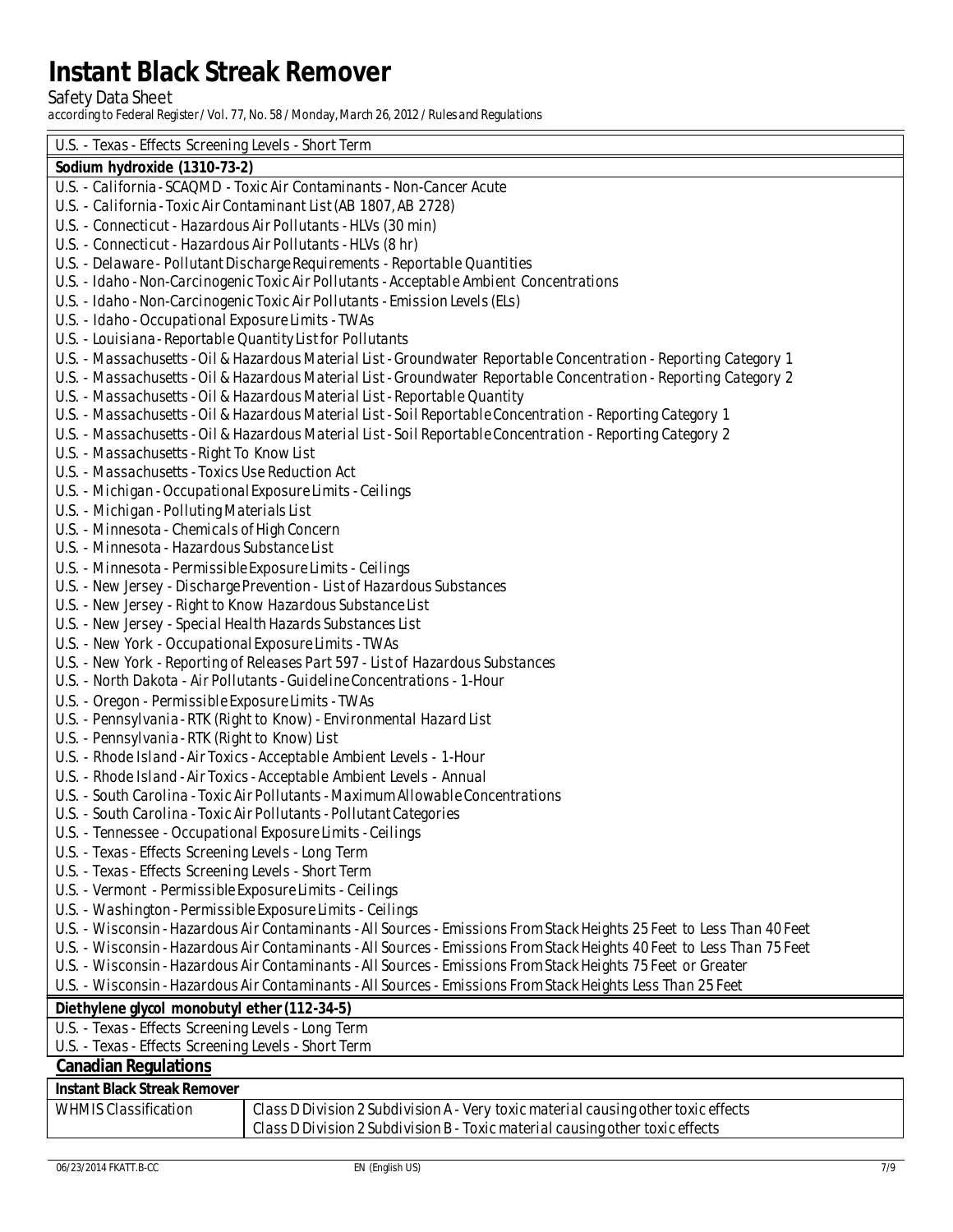Safety Data Sheet<br>according to Federal Register / Vol. 77, No. 58 / Monday, March 26, 2012 / Rules and Regulations

| Sodium hydroxide (1310-73-2)<br>U.S. - California - SCAQMD - Toxic Air Contaminants - Non-Cancer Acute<br>U.S. - California - Toxic Air Contaminant List (AB 1807, AB 2728)<br>U.S. - Connecticut - Hazardous Air Pollutants - HLVs (30 min)<br>U.S. - Connecticut - Hazardous Air Pollutants - HLVs (8 hr)<br>U.S. - Delaware - Pollutant Discharge Requirements - Reportable Quantities<br>U.S. - Idaho - Non-Carcinogenic Toxic Air Pollutants - Acceptable Ambient Concentrations<br>U.S. - Idaho - Non-Carcinogenic Toxic Air Pollutants - Emission Levels (ELs)<br>U.S. - Idaho - Occupational Exposure Limits - TWAs<br>U.S. - Louisiana - Reportable Quantity List for Pollutants<br>U.S. - Massachusetts - Oil & Hazardous Material List - Groundwater Reportable Concentration - Reporting Category 1<br>U.S. - Massachusetts - Oil & Hazardous Material List - Groundwater Reportable Concentration - Reporting Category 2<br>U.S. - Massachusetts - Oil & Hazardous Material List - Reportable Quantity<br>U.S. - Massachusetts - Oil & Hazardous Material List - Soil Reportable Concentration - Reporting Category 1<br>U.S. - Massachusetts - Oil & Hazardous Material List - Soil Reportable Concentration - Reporting Category 2<br><b>U.S. - Massachusetts - Right To Know List</b><br><b>U.S. - Massachusetts - Toxics Use Reduction Act</b><br>U.S. - Michigan - Occupational Exposure Limits - Ceilings<br>U.S. - Michigan - Polluting Materials List<br>U.S. - Minnes ota - Chemicals of High Concern<br>U.S. - Minnesota - Hazardous Substance List<br>U.S. - Minnesota - Permissible Exposure Limits - Ceilings<br>U.S. - New Jersey - Discharge Prevention - List of Hazardous Substances<br>U.S. - New Jersey - Right to Know Hazardous Substance List<br>U.S. - New Jersey - Special Health Hazards Substances List<br>U.S. - New York - Occupational Exposure Limits - TWAs<br>U.S. - New York - Reporting of Releases Part 597 - List of Hazardous Substances<br>U.S. - North Dakota - Air Pollutants - Guideline Concentrations - 1-Hour<br>U.S. - Oregon - Permissible Exposure Limits - TWAs<br>U.S. - Pennsylvania - RTK (Right to Know) - Environmental Hazard List<br>U.S. - Pennsylvania - RTK (Right to Know) List<br>U.S. - Rhode Island - Air Toxics - Acceptable Ambient Levels - 1-Hour<br>U.S. - Rhode Island - Air Toxics - Acceptable Ambient Levels - Annual<br>U.S. - South Carolina - Toxic Air Pollutants - Maximum Allowable Concentrations<br>U.S. - South Carolina - Toxic Air Pollutants - Pollutant Categories<br>U.S. - Tennessee - Occupational Exposure Limits - Ceilings<br>U.S. - Texas - Effects Screening Levels - Long Term<br>U.S. - Texas - Effects Screening Levels - Short Term<br>U.S. - Vermont - Permissible Exposure Limits - Ceilings<br>U.S. - Washington - Permissible Exposure Limits - Ceilings<br>U.S. - Wisconsin - Hazardous Air Contaminants - All Sources - Emissions From Stack Heights 25 Feet to Less Than 40 Feet<br>U.S. - Wisconsin - Hazardous Air Contaminants - All Sources - Emissions From Stack Heights 40 Feet to Less Than 75 Feet<br>U.S. - Wisconsin - Hazardous Air Contaminants - All Sources - Emissions From Stack Heights 75 Feet or Greater<br>U.S. - Wisconsin - Hazardous Air Contaminants - All Sources - Emissions From Stack Heights Less Than 25 Feet<br>Diethylene glycol monobutyl ether (112-34-5)<br>U.S. - Texas - Effects Screening Levels - Long Term<br>U.S. - Texas - Effects Screening Levels - Short Term | U.S. - Texas - Effects Screening Levels - Short Term |
|---------------------------------------------------------------------------------------------------------------------------------------------------------------------------------------------------------------------------------------------------------------------------------------------------------------------------------------------------------------------------------------------------------------------------------------------------------------------------------------------------------------------------------------------------------------------------------------------------------------------------------------------------------------------------------------------------------------------------------------------------------------------------------------------------------------------------------------------------------------------------------------------------------------------------------------------------------------------------------------------------------------------------------------------------------------------------------------------------------------------------------------------------------------------------------------------------------------------------------------------------------------------------------------------------------------------------------------------------------------------------------------------------------------------------------------------------------------------------------------------------------------------------------------------------------------------------------------------------------------------------------------------------------------------------------------------------------------------------------------------------------------------------------------------------------------------------------------------------------------------------------------------------------------------------------------------------------------------------------------------------------------------------------------------------------------------------------------------------------------------------------------------------------------------------------------------------------------------------------------------------------------------------------------------------------------------------------------------------------------------------------------------------------------------------------------------------------------------------------------------------------------------------------------------------------------------------------------------------------------------------------------------------------------------------------------------------------------------------------------------------------------------------------------------------------------------------------------------------------------------------------------------------------------------------------------------------------------------------------------------------------------------------------------------------------------------------------------------------------------------------------------------------------------------------------------------------------------------------------------------------------------------------------------------------------------------------------------------------------------------------------------------------------------------------------------------------------------------------------------------------------------------------------|------------------------------------------------------|
|                                                                                                                                                                                                                                                                                                                                                                                                                                                                                                                                                                                                                                                                                                                                                                                                                                                                                                                                                                                                                                                                                                                                                                                                                                                                                                                                                                                                                                                                                                                                                                                                                                                                                                                                                                                                                                                                                                                                                                                                                                                                                                                                                                                                                                                                                                                                                                                                                                                                                                                                                                                                                                                                                                                                                                                                                                                                                                                                                                                                                                                                                                                                                                                                                                                                                                                                                                                                                                                                                                                                 |                                                      |
|                                                                                                                                                                                                                                                                                                                                                                                                                                                                                                                                                                                                                                                                                                                                                                                                                                                                                                                                                                                                                                                                                                                                                                                                                                                                                                                                                                                                                                                                                                                                                                                                                                                                                                                                                                                                                                                                                                                                                                                                                                                                                                                                                                                                                                                                                                                                                                                                                                                                                                                                                                                                                                                                                                                                                                                                                                                                                                                                                                                                                                                                                                                                                                                                                                                                                                                                                                                                                                                                                                                                 |                                                      |
|                                                                                                                                                                                                                                                                                                                                                                                                                                                                                                                                                                                                                                                                                                                                                                                                                                                                                                                                                                                                                                                                                                                                                                                                                                                                                                                                                                                                                                                                                                                                                                                                                                                                                                                                                                                                                                                                                                                                                                                                                                                                                                                                                                                                                                                                                                                                                                                                                                                                                                                                                                                                                                                                                                                                                                                                                                                                                                                                                                                                                                                                                                                                                                                                                                                                                                                                                                                                                                                                                                                                 |                                                      |
|                                                                                                                                                                                                                                                                                                                                                                                                                                                                                                                                                                                                                                                                                                                                                                                                                                                                                                                                                                                                                                                                                                                                                                                                                                                                                                                                                                                                                                                                                                                                                                                                                                                                                                                                                                                                                                                                                                                                                                                                                                                                                                                                                                                                                                                                                                                                                                                                                                                                                                                                                                                                                                                                                                                                                                                                                                                                                                                                                                                                                                                                                                                                                                                                                                                                                                                                                                                                                                                                                                                                 |                                                      |
|                                                                                                                                                                                                                                                                                                                                                                                                                                                                                                                                                                                                                                                                                                                                                                                                                                                                                                                                                                                                                                                                                                                                                                                                                                                                                                                                                                                                                                                                                                                                                                                                                                                                                                                                                                                                                                                                                                                                                                                                                                                                                                                                                                                                                                                                                                                                                                                                                                                                                                                                                                                                                                                                                                                                                                                                                                                                                                                                                                                                                                                                                                                                                                                                                                                                                                                                                                                                                                                                                                                                 |                                                      |
|                                                                                                                                                                                                                                                                                                                                                                                                                                                                                                                                                                                                                                                                                                                                                                                                                                                                                                                                                                                                                                                                                                                                                                                                                                                                                                                                                                                                                                                                                                                                                                                                                                                                                                                                                                                                                                                                                                                                                                                                                                                                                                                                                                                                                                                                                                                                                                                                                                                                                                                                                                                                                                                                                                                                                                                                                                                                                                                                                                                                                                                                                                                                                                                                                                                                                                                                                                                                                                                                                                                                 |                                                      |
|                                                                                                                                                                                                                                                                                                                                                                                                                                                                                                                                                                                                                                                                                                                                                                                                                                                                                                                                                                                                                                                                                                                                                                                                                                                                                                                                                                                                                                                                                                                                                                                                                                                                                                                                                                                                                                                                                                                                                                                                                                                                                                                                                                                                                                                                                                                                                                                                                                                                                                                                                                                                                                                                                                                                                                                                                                                                                                                                                                                                                                                                                                                                                                                                                                                                                                                                                                                                                                                                                                                                 |                                                      |
|                                                                                                                                                                                                                                                                                                                                                                                                                                                                                                                                                                                                                                                                                                                                                                                                                                                                                                                                                                                                                                                                                                                                                                                                                                                                                                                                                                                                                                                                                                                                                                                                                                                                                                                                                                                                                                                                                                                                                                                                                                                                                                                                                                                                                                                                                                                                                                                                                                                                                                                                                                                                                                                                                                                                                                                                                                                                                                                                                                                                                                                                                                                                                                                                                                                                                                                                                                                                                                                                                                                                 |                                                      |
|                                                                                                                                                                                                                                                                                                                                                                                                                                                                                                                                                                                                                                                                                                                                                                                                                                                                                                                                                                                                                                                                                                                                                                                                                                                                                                                                                                                                                                                                                                                                                                                                                                                                                                                                                                                                                                                                                                                                                                                                                                                                                                                                                                                                                                                                                                                                                                                                                                                                                                                                                                                                                                                                                                                                                                                                                                                                                                                                                                                                                                                                                                                                                                                                                                                                                                                                                                                                                                                                                                                                 |                                                      |
|                                                                                                                                                                                                                                                                                                                                                                                                                                                                                                                                                                                                                                                                                                                                                                                                                                                                                                                                                                                                                                                                                                                                                                                                                                                                                                                                                                                                                                                                                                                                                                                                                                                                                                                                                                                                                                                                                                                                                                                                                                                                                                                                                                                                                                                                                                                                                                                                                                                                                                                                                                                                                                                                                                                                                                                                                                                                                                                                                                                                                                                                                                                                                                                                                                                                                                                                                                                                                                                                                                                                 |                                                      |
|                                                                                                                                                                                                                                                                                                                                                                                                                                                                                                                                                                                                                                                                                                                                                                                                                                                                                                                                                                                                                                                                                                                                                                                                                                                                                                                                                                                                                                                                                                                                                                                                                                                                                                                                                                                                                                                                                                                                                                                                                                                                                                                                                                                                                                                                                                                                                                                                                                                                                                                                                                                                                                                                                                                                                                                                                                                                                                                                                                                                                                                                                                                                                                                                                                                                                                                                                                                                                                                                                                                                 |                                                      |
|                                                                                                                                                                                                                                                                                                                                                                                                                                                                                                                                                                                                                                                                                                                                                                                                                                                                                                                                                                                                                                                                                                                                                                                                                                                                                                                                                                                                                                                                                                                                                                                                                                                                                                                                                                                                                                                                                                                                                                                                                                                                                                                                                                                                                                                                                                                                                                                                                                                                                                                                                                                                                                                                                                                                                                                                                                                                                                                                                                                                                                                                                                                                                                                                                                                                                                                                                                                                                                                                                                                                 |                                                      |
|                                                                                                                                                                                                                                                                                                                                                                                                                                                                                                                                                                                                                                                                                                                                                                                                                                                                                                                                                                                                                                                                                                                                                                                                                                                                                                                                                                                                                                                                                                                                                                                                                                                                                                                                                                                                                                                                                                                                                                                                                                                                                                                                                                                                                                                                                                                                                                                                                                                                                                                                                                                                                                                                                                                                                                                                                                                                                                                                                                                                                                                                                                                                                                                                                                                                                                                                                                                                                                                                                                                                 |                                                      |
|                                                                                                                                                                                                                                                                                                                                                                                                                                                                                                                                                                                                                                                                                                                                                                                                                                                                                                                                                                                                                                                                                                                                                                                                                                                                                                                                                                                                                                                                                                                                                                                                                                                                                                                                                                                                                                                                                                                                                                                                                                                                                                                                                                                                                                                                                                                                                                                                                                                                                                                                                                                                                                                                                                                                                                                                                                                                                                                                                                                                                                                                                                                                                                                                                                                                                                                                                                                                                                                                                                                                 |                                                      |
|                                                                                                                                                                                                                                                                                                                                                                                                                                                                                                                                                                                                                                                                                                                                                                                                                                                                                                                                                                                                                                                                                                                                                                                                                                                                                                                                                                                                                                                                                                                                                                                                                                                                                                                                                                                                                                                                                                                                                                                                                                                                                                                                                                                                                                                                                                                                                                                                                                                                                                                                                                                                                                                                                                                                                                                                                                                                                                                                                                                                                                                                                                                                                                                                                                                                                                                                                                                                                                                                                                                                 |                                                      |
|                                                                                                                                                                                                                                                                                                                                                                                                                                                                                                                                                                                                                                                                                                                                                                                                                                                                                                                                                                                                                                                                                                                                                                                                                                                                                                                                                                                                                                                                                                                                                                                                                                                                                                                                                                                                                                                                                                                                                                                                                                                                                                                                                                                                                                                                                                                                                                                                                                                                                                                                                                                                                                                                                                                                                                                                                                                                                                                                                                                                                                                                                                                                                                                                                                                                                                                                                                                                                                                                                                                                 |                                                      |
|                                                                                                                                                                                                                                                                                                                                                                                                                                                                                                                                                                                                                                                                                                                                                                                                                                                                                                                                                                                                                                                                                                                                                                                                                                                                                                                                                                                                                                                                                                                                                                                                                                                                                                                                                                                                                                                                                                                                                                                                                                                                                                                                                                                                                                                                                                                                                                                                                                                                                                                                                                                                                                                                                                                                                                                                                                                                                                                                                                                                                                                                                                                                                                                                                                                                                                                                                                                                                                                                                                                                 |                                                      |
|                                                                                                                                                                                                                                                                                                                                                                                                                                                                                                                                                                                                                                                                                                                                                                                                                                                                                                                                                                                                                                                                                                                                                                                                                                                                                                                                                                                                                                                                                                                                                                                                                                                                                                                                                                                                                                                                                                                                                                                                                                                                                                                                                                                                                                                                                                                                                                                                                                                                                                                                                                                                                                                                                                                                                                                                                                                                                                                                                                                                                                                                                                                                                                                                                                                                                                                                                                                                                                                                                                                                 |                                                      |
|                                                                                                                                                                                                                                                                                                                                                                                                                                                                                                                                                                                                                                                                                                                                                                                                                                                                                                                                                                                                                                                                                                                                                                                                                                                                                                                                                                                                                                                                                                                                                                                                                                                                                                                                                                                                                                                                                                                                                                                                                                                                                                                                                                                                                                                                                                                                                                                                                                                                                                                                                                                                                                                                                                                                                                                                                                                                                                                                                                                                                                                                                                                                                                                                                                                                                                                                                                                                                                                                                                                                 |                                                      |
|                                                                                                                                                                                                                                                                                                                                                                                                                                                                                                                                                                                                                                                                                                                                                                                                                                                                                                                                                                                                                                                                                                                                                                                                                                                                                                                                                                                                                                                                                                                                                                                                                                                                                                                                                                                                                                                                                                                                                                                                                                                                                                                                                                                                                                                                                                                                                                                                                                                                                                                                                                                                                                                                                                                                                                                                                                                                                                                                                                                                                                                                                                                                                                                                                                                                                                                                                                                                                                                                                                                                 |                                                      |
|                                                                                                                                                                                                                                                                                                                                                                                                                                                                                                                                                                                                                                                                                                                                                                                                                                                                                                                                                                                                                                                                                                                                                                                                                                                                                                                                                                                                                                                                                                                                                                                                                                                                                                                                                                                                                                                                                                                                                                                                                                                                                                                                                                                                                                                                                                                                                                                                                                                                                                                                                                                                                                                                                                                                                                                                                                                                                                                                                                                                                                                                                                                                                                                                                                                                                                                                                                                                                                                                                                                                 |                                                      |
|                                                                                                                                                                                                                                                                                                                                                                                                                                                                                                                                                                                                                                                                                                                                                                                                                                                                                                                                                                                                                                                                                                                                                                                                                                                                                                                                                                                                                                                                                                                                                                                                                                                                                                                                                                                                                                                                                                                                                                                                                                                                                                                                                                                                                                                                                                                                                                                                                                                                                                                                                                                                                                                                                                                                                                                                                                                                                                                                                                                                                                                                                                                                                                                                                                                                                                                                                                                                                                                                                                                                 |                                                      |
|                                                                                                                                                                                                                                                                                                                                                                                                                                                                                                                                                                                                                                                                                                                                                                                                                                                                                                                                                                                                                                                                                                                                                                                                                                                                                                                                                                                                                                                                                                                                                                                                                                                                                                                                                                                                                                                                                                                                                                                                                                                                                                                                                                                                                                                                                                                                                                                                                                                                                                                                                                                                                                                                                                                                                                                                                                                                                                                                                                                                                                                                                                                                                                                                                                                                                                                                                                                                                                                                                                                                 |                                                      |
|                                                                                                                                                                                                                                                                                                                                                                                                                                                                                                                                                                                                                                                                                                                                                                                                                                                                                                                                                                                                                                                                                                                                                                                                                                                                                                                                                                                                                                                                                                                                                                                                                                                                                                                                                                                                                                                                                                                                                                                                                                                                                                                                                                                                                                                                                                                                                                                                                                                                                                                                                                                                                                                                                                                                                                                                                                                                                                                                                                                                                                                                                                                                                                                                                                                                                                                                                                                                                                                                                                                                 |                                                      |
|                                                                                                                                                                                                                                                                                                                                                                                                                                                                                                                                                                                                                                                                                                                                                                                                                                                                                                                                                                                                                                                                                                                                                                                                                                                                                                                                                                                                                                                                                                                                                                                                                                                                                                                                                                                                                                                                                                                                                                                                                                                                                                                                                                                                                                                                                                                                                                                                                                                                                                                                                                                                                                                                                                                                                                                                                                                                                                                                                                                                                                                                                                                                                                                                                                                                                                                                                                                                                                                                                                                                 |                                                      |
|                                                                                                                                                                                                                                                                                                                                                                                                                                                                                                                                                                                                                                                                                                                                                                                                                                                                                                                                                                                                                                                                                                                                                                                                                                                                                                                                                                                                                                                                                                                                                                                                                                                                                                                                                                                                                                                                                                                                                                                                                                                                                                                                                                                                                                                                                                                                                                                                                                                                                                                                                                                                                                                                                                                                                                                                                                                                                                                                                                                                                                                                                                                                                                                                                                                                                                                                                                                                                                                                                                                                 |                                                      |
|                                                                                                                                                                                                                                                                                                                                                                                                                                                                                                                                                                                                                                                                                                                                                                                                                                                                                                                                                                                                                                                                                                                                                                                                                                                                                                                                                                                                                                                                                                                                                                                                                                                                                                                                                                                                                                                                                                                                                                                                                                                                                                                                                                                                                                                                                                                                                                                                                                                                                                                                                                                                                                                                                                                                                                                                                                                                                                                                                                                                                                                                                                                                                                                                                                                                                                                                                                                                                                                                                                                                 |                                                      |
|                                                                                                                                                                                                                                                                                                                                                                                                                                                                                                                                                                                                                                                                                                                                                                                                                                                                                                                                                                                                                                                                                                                                                                                                                                                                                                                                                                                                                                                                                                                                                                                                                                                                                                                                                                                                                                                                                                                                                                                                                                                                                                                                                                                                                                                                                                                                                                                                                                                                                                                                                                                                                                                                                                                                                                                                                                                                                                                                                                                                                                                                                                                                                                                                                                                                                                                                                                                                                                                                                                                                 |                                                      |
|                                                                                                                                                                                                                                                                                                                                                                                                                                                                                                                                                                                                                                                                                                                                                                                                                                                                                                                                                                                                                                                                                                                                                                                                                                                                                                                                                                                                                                                                                                                                                                                                                                                                                                                                                                                                                                                                                                                                                                                                                                                                                                                                                                                                                                                                                                                                                                                                                                                                                                                                                                                                                                                                                                                                                                                                                                                                                                                                                                                                                                                                                                                                                                                                                                                                                                                                                                                                                                                                                                                                 |                                                      |
|                                                                                                                                                                                                                                                                                                                                                                                                                                                                                                                                                                                                                                                                                                                                                                                                                                                                                                                                                                                                                                                                                                                                                                                                                                                                                                                                                                                                                                                                                                                                                                                                                                                                                                                                                                                                                                                                                                                                                                                                                                                                                                                                                                                                                                                                                                                                                                                                                                                                                                                                                                                                                                                                                                                                                                                                                                                                                                                                                                                                                                                                                                                                                                                                                                                                                                                                                                                                                                                                                                                                 |                                                      |
|                                                                                                                                                                                                                                                                                                                                                                                                                                                                                                                                                                                                                                                                                                                                                                                                                                                                                                                                                                                                                                                                                                                                                                                                                                                                                                                                                                                                                                                                                                                                                                                                                                                                                                                                                                                                                                                                                                                                                                                                                                                                                                                                                                                                                                                                                                                                                                                                                                                                                                                                                                                                                                                                                                                                                                                                                                                                                                                                                                                                                                                                                                                                                                                                                                                                                                                                                                                                                                                                                                                                 |                                                      |
|                                                                                                                                                                                                                                                                                                                                                                                                                                                                                                                                                                                                                                                                                                                                                                                                                                                                                                                                                                                                                                                                                                                                                                                                                                                                                                                                                                                                                                                                                                                                                                                                                                                                                                                                                                                                                                                                                                                                                                                                                                                                                                                                                                                                                                                                                                                                                                                                                                                                                                                                                                                                                                                                                                                                                                                                                                                                                                                                                                                                                                                                                                                                                                                                                                                                                                                                                                                                                                                                                                                                 |                                                      |
|                                                                                                                                                                                                                                                                                                                                                                                                                                                                                                                                                                                                                                                                                                                                                                                                                                                                                                                                                                                                                                                                                                                                                                                                                                                                                                                                                                                                                                                                                                                                                                                                                                                                                                                                                                                                                                                                                                                                                                                                                                                                                                                                                                                                                                                                                                                                                                                                                                                                                                                                                                                                                                                                                                                                                                                                                                                                                                                                                                                                                                                                                                                                                                                                                                                                                                                                                                                                                                                                                                                                 |                                                      |
|                                                                                                                                                                                                                                                                                                                                                                                                                                                                                                                                                                                                                                                                                                                                                                                                                                                                                                                                                                                                                                                                                                                                                                                                                                                                                                                                                                                                                                                                                                                                                                                                                                                                                                                                                                                                                                                                                                                                                                                                                                                                                                                                                                                                                                                                                                                                                                                                                                                                                                                                                                                                                                                                                                                                                                                                                                                                                                                                                                                                                                                                                                                                                                                                                                                                                                                                                                                                                                                                                                                                 |                                                      |
|                                                                                                                                                                                                                                                                                                                                                                                                                                                                                                                                                                                                                                                                                                                                                                                                                                                                                                                                                                                                                                                                                                                                                                                                                                                                                                                                                                                                                                                                                                                                                                                                                                                                                                                                                                                                                                                                                                                                                                                                                                                                                                                                                                                                                                                                                                                                                                                                                                                                                                                                                                                                                                                                                                                                                                                                                                                                                                                                                                                                                                                                                                                                                                                                                                                                                                                                                                                                                                                                                                                                 |                                                      |
|                                                                                                                                                                                                                                                                                                                                                                                                                                                                                                                                                                                                                                                                                                                                                                                                                                                                                                                                                                                                                                                                                                                                                                                                                                                                                                                                                                                                                                                                                                                                                                                                                                                                                                                                                                                                                                                                                                                                                                                                                                                                                                                                                                                                                                                                                                                                                                                                                                                                                                                                                                                                                                                                                                                                                                                                                                                                                                                                                                                                                                                                                                                                                                                                                                                                                                                                                                                                                                                                                                                                 |                                                      |
|                                                                                                                                                                                                                                                                                                                                                                                                                                                                                                                                                                                                                                                                                                                                                                                                                                                                                                                                                                                                                                                                                                                                                                                                                                                                                                                                                                                                                                                                                                                                                                                                                                                                                                                                                                                                                                                                                                                                                                                                                                                                                                                                                                                                                                                                                                                                                                                                                                                                                                                                                                                                                                                                                                                                                                                                                                                                                                                                                                                                                                                                                                                                                                                                                                                                                                                                                                                                                                                                                                                                 |                                                      |
|                                                                                                                                                                                                                                                                                                                                                                                                                                                                                                                                                                                                                                                                                                                                                                                                                                                                                                                                                                                                                                                                                                                                                                                                                                                                                                                                                                                                                                                                                                                                                                                                                                                                                                                                                                                                                                                                                                                                                                                                                                                                                                                                                                                                                                                                                                                                                                                                                                                                                                                                                                                                                                                                                                                                                                                                                                                                                                                                                                                                                                                                                                                                                                                                                                                                                                                                                                                                                                                                                                                                 |                                                      |
|                                                                                                                                                                                                                                                                                                                                                                                                                                                                                                                                                                                                                                                                                                                                                                                                                                                                                                                                                                                                                                                                                                                                                                                                                                                                                                                                                                                                                                                                                                                                                                                                                                                                                                                                                                                                                                                                                                                                                                                                                                                                                                                                                                                                                                                                                                                                                                                                                                                                                                                                                                                                                                                                                                                                                                                                                                                                                                                                                                                                                                                                                                                                                                                                                                                                                                                                                                                                                                                                                                                                 |                                                      |
|                                                                                                                                                                                                                                                                                                                                                                                                                                                                                                                                                                                                                                                                                                                                                                                                                                                                                                                                                                                                                                                                                                                                                                                                                                                                                                                                                                                                                                                                                                                                                                                                                                                                                                                                                                                                                                                                                                                                                                                                                                                                                                                                                                                                                                                                                                                                                                                                                                                                                                                                                                                                                                                                                                                                                                                                                                                                                                                                                                                                                                                                                                                                                                                                                                                                                                                                                                                                                                                                                                                                 |                                                      |
|                                                                                                                                                                                                                                                                                                                                                                                                                                                                                                                                                                                                                                                                                                                                                                                                                                                                                                                                                                                                                                                                                                                                                                                                                                                                                                                                                                                                                                                                                                                                                                                                                                                                                                                                                                                                                                                                                                                                                                                                                                                                                                                                                                                                                                                                                                                                                                                                                                                                                                                                                                                                                                                                                                                                                                                                                                                                                                                                                                                                                                                                                                                                                                                                                                                                                                                                                                                                                                                                                                                                 |                                                      |
|                                                                                                                                                                                                                                                                                                                                                                                                                                                                                                                                                                                                                                                                                                                                                                                                                                                                                                                                                                                                                                                                                                                                                                                                                                                                                                                                                                                                                                                                                                                                                                                                                                                                                                                                                                                                                                                                                                                                                                                                                                                                                                                                                                                                                                                                                                                                                                                                                                                                                                                                                                                                                                                                                                                                                                                                                                                                                                                                                                                                                                                                                                                                                                                                                                                                                                                                                                                                                                                                                                                                 |                                                      |
|                                                                                                                                                                                                                                                                                                                                                                                                                                                                                                                                                                                                                                                                                                                                                                                                                                                                                                                                                                                                                                                                                                                                                                                                                                                                                                                                                                                                                                                                                                                                                                                                                                                                                                                                                                                                                                                                                                                                                                                                                                                                                                                                                                                                                                                                                                                                                                                                                                                                                                                                                                                                                                                                                                                                                                                                                                                                                                                                                                                                                                                                                                                                                                                                                                                                                                                                                                                                                                                                                                                                 |                                                      |
|                                                                                                                                                                                                                                                                                                                                                                                                                                                                                                                                                                                                                                                                                                                                                                                                                                                                                                                                                                                                                                                                                                                                                                                                                                                                                                                                                                                                                                                                                                                                                                                                                                                                                                                                                                                                                                                                                                                                                                                                                                                                                                                                                                                                                                                                                                                                                                                                                                                                                                                                                                                                                                                                                                                                                                                                                                                                                                                                                                                                                                                                                                                                                                                                                                                                                                                                                                                                                                                                                                                                 |                                                      |
|                                                                                                                                                                                                                                                                                                                                                                                                                                                                                                                                                                                                                                                                                                                                                                                                                                                                                                                                                                                                                                                                                                                                                                                                                                                                                                                                                                                                                                                                                                                                                                                                                                                                                                                                                                                                                                                                                                                                                                                                                                                                                                                                                                                                                                                                                                                                                                                                                                                                                                                                                                                                                                                                                                                                                                                                                                                                                                                                                                                                                                                                                                                                                                                                                                                                                                                                                                                                                                                                                                                                 |                                                      |
|                                                                                                                                                                                                                                                                                                                                                                                                                                                                                                                                                                                                                                                                                                                                                                                                                                                                                                                                                                                                                                                                                                                                                                                                                                                                                                                                                                                                                                                                                                                                                                                                                                                                                                                                                                                                                                                                                                                                                                                                                                                                                                                                                                                                                                                                                                                                                                                                                                                                                                                                                                                                                                                                                                                                                                                                                                                                                                                                                                                                                                                                                                                                                                                                                                                                                                                                                                                                                                                                                                                                 |                                                      |
| <b>Canadian Regulations</b>                                                                                                                                                                                                                                                                                                                                                                                                                                                                                                                                                                                                                                                                                                                                                                                                                                                                                                                                                                                                                                                                                                                                                                                                                                                                                                                                                                                                                                                                                                                                                                                                                                                                                                                                                                                                                                                                                                                                                                                                                                                                                                                                                                                                                                                                                                                                                                                                                                                                                                                                                                                                                                                                                                                                                                                                                                                                                                                                                                                                                                                                                                                                                                                                                                                                                                                                                                                                                                                                                                     |                                                      |

#### **Instant Black Streak Remover**

| <b>WHMIS Classification</b> | Class D Division 2 Subdivision A - Very toxic material causing other toxic effects |
|-----------------------------|------------------------------------------------------------------------------------|
|                             | Class D Division 2 Subdivision B - Toxic material causing other toxic effects      |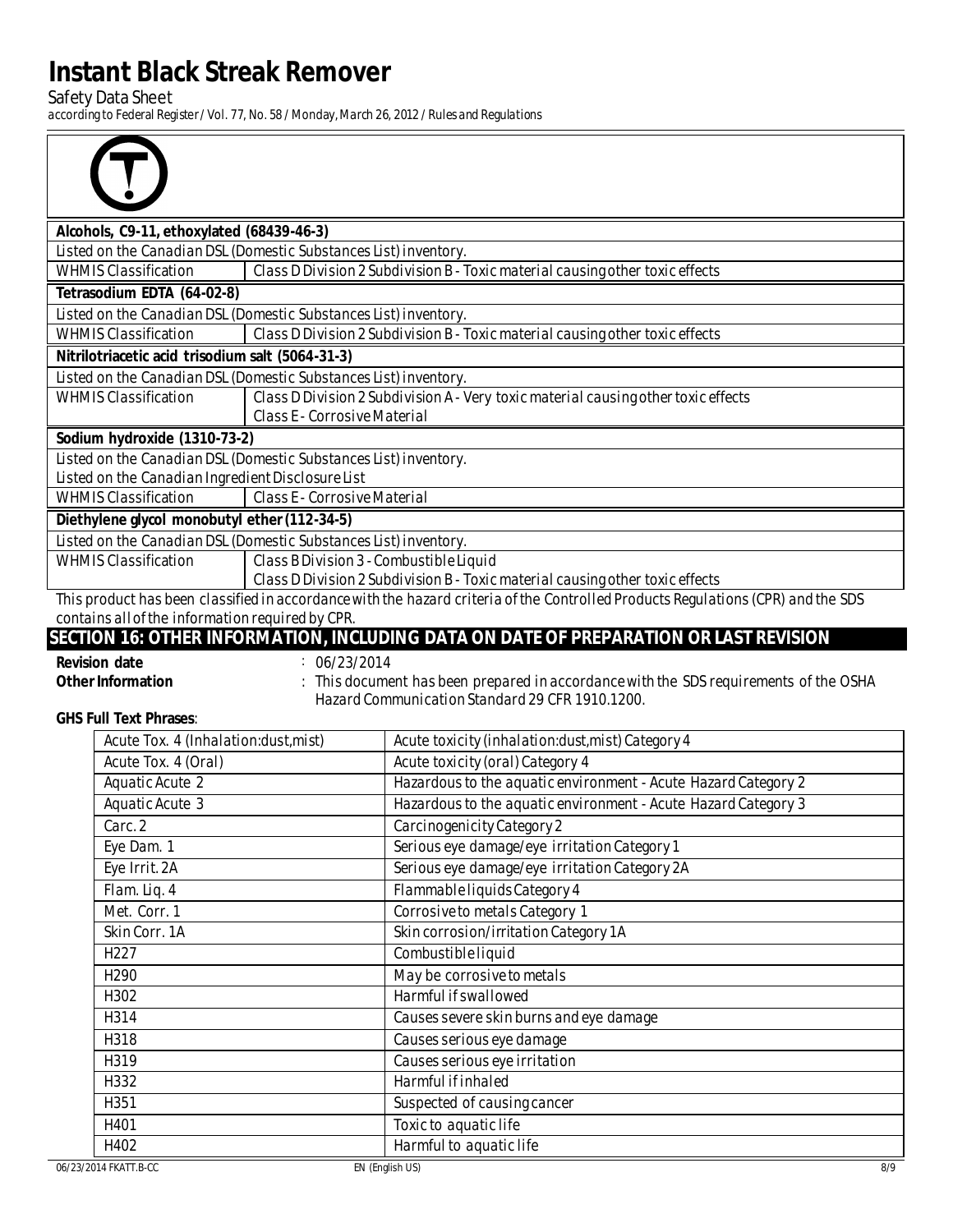**Safety Data Sheet** 

⋽

 $\bar{r}$ 

according to Federal Register/Vol. 77, No. 58 / Monday, March 26, 2012 / Rules and Regulations

| Alcohols, C9-11, ethoxylated (68439-46-3)                                                                                        |                                                                                    |  |  |
|----------------------------------------------------------------------------------------------------------------------------------|------------------------------------------------------------------------------------|--|--|
|                                                                                                                                  | Listed on the Canadian DSL (Domestic Substances List) inventory.                   |  |  |
| <b>WHMIS Classification</b>                                                                                                      | Class D Division 2 Subdivision B - Toxic material causing other toxic effects      |  |  |
| Tetrasodium EDTA (64-02-8)                                                                                                       |                                                                                    |  |  |
|                                                                                                                                  | Listed on the Canadian DSL (Domestic Substances List) inventory.                   |  |  |
| <b>WHMIS Classification</b>                                                                                                      | Class D Division 2 Subdivision B - Toxic material causing other toxic effects      |  |  |
| Nitrilotriacetic acid trisodium salt (5064-31-3)                                                                                 |                                                                                    |  |  |
|                                                                                                                                  | Listed on the Canadian DSL (Domestic Substances List) inventory.                   |  |  |
| <b>WHMIS Classification</b>                                                                                                      | Class D Division 2 Subdivision A - Very toxic material causing other toxic effects |  |  |
|                                                                                                                                  | <b>Class E- Corrosive Material</b>                                                 |  |  |
| Sodium hydroxide (1310-73-2)                                                                                                     |                                                                                    |  |  |
|                                                                                                                                  | Listed on the Canadian DSL (Domestic Substances List) inventory.                   |  |  |
| <b>Listed on the Canadian Ingredient Disclosure List</b>                                                                         |                                                                                    |  |  |
| <b>WHMIS Classification</b>                                                                                                      | <b>Class E</b> - Corrosive Material                                                |  |  |
| Diethylene glycol monobutyl ether (112-34-5)                                                                                     |                                                                                    |  |  |
|                                                                                                                                  | Listed on the Canadian DSL (Domestic Substances List) inventory.                   |  |  |
| <b>WHMIS Classification</b>                                                                                                      | Class B Division 3 - Combustible Liquid                                            |  |  |
|                                                                                                                                  | Class D Division 2 Subdivision B - Toxic material causing other toxic effects      |  |  |
| This product has been classified in accordance with the hazard criteria of the Controlled Products Regulations (CPR) and the SDS |                                                                                    |  |  |
| contains all of the information required by CPR                                                                                  |                                                                                    |  |  |

### SECTION 16: OTHER INFORMATION, INCLUDING DATA ON DATE OF PREPARATION OR LAST REVISION

| <b>Revision date</b> | : 06/23/2014       |
|----------------------|--------------------|
| Other Information    | : This document ha |

as been prepared in accordance with the SDS requirements of the OSHA Hazard Communication Standard 29 CFR 1910.1200.

**GHS Full Text Phrases:** 

| Acute Tox. 4 (Inhalation:dust, mist) | Acute toxicity (inhalation:dust, mist) Category 4              |
|--------------------------------------|----------------------------------------------------------------|
| Acute Tox. 4 (Oral)                  | <b>Acute toxicity (oral) Category 4</b>                        |
| <b>Aquatic Acute 2</b>               | Hazardous to the aquatic environment - Acute Hazard Category 2 |
| <b>Aquatic Acute 3</b>               | Hazardous to the aquatic environment - Acute Hazard Category 3 |
| Carc. 2                              | <b>Carcinogenicity Category 2</b>                              |
| Eye Dam. 1                           | Serious eye damage/eye irritation Category 1                   |
| Eye Irrit. 2A                        | Serious eye damage/eye irritation Category 2A                  |
| Flam. Liq. 4                         | Flammable liquids Category 4                                   |
| Met. Corr. 1                         | <b>Corrosive to metals Category 1</b>                          |
| Skin Corr. 1A                        | Skin corrosion/irritation Category 1A                          |
| H <sub>227</sub>                     | <b>Combustible liquid</b>                                      |
| H <sub>290</sub>                     | May be corrosive to metals                                     |
| H302                                 | <b>Harmful if swallowed</b>                                    |
| H314                                 | Causes severe skin burns and eye damage                        |
| <b>H318</b>                          | Causes serious eye damage                                      |
| H319                                 | Causes serious eye irritation                                  |
| H332                                 | <b>Harmful if inhaled</b>                                      |
| H351                                 | Suspected of causing cancer                                    |
| H401                                 | Toxic to aquatic life                                          |
| H402                                 | Harmful to aquatic life                                        |